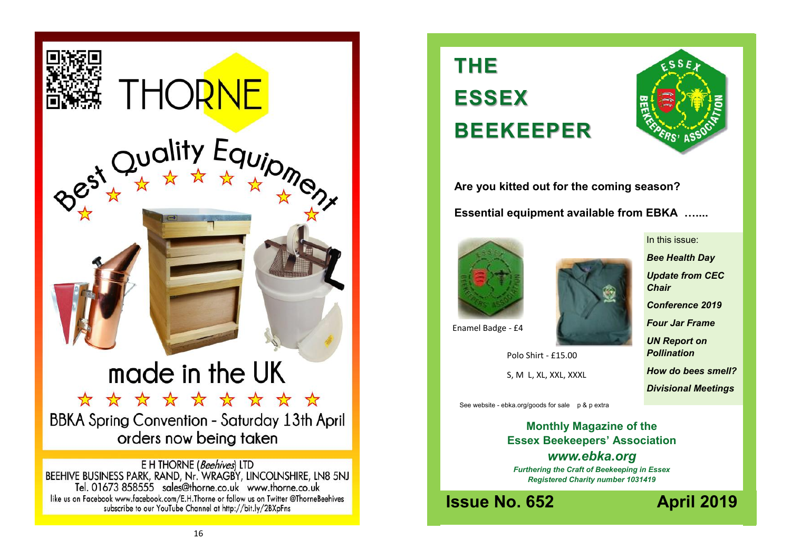

**THE ESSEX BEEKEEPER**



**Are you kitted out for the coming season? Essential equipment available from EBKA …....**





In this issue:

*Bee Health Day Update from CEC Chair*

*Conference 2019*

*Four Jar Frame*

*UN Report on Pollination*

*How do bees smell? Divisional Meetings*

*Honey bee and*  S, M L, XL, XXL, XXXL Polo Shirt - £15.00

See website - ebka.org/goods for sale p & p extra

**Monthly Magazine of the Essex Beekeepers' Association** *www.ebka.org Furthering the Craft of Beekeeping in Essex Registered Charity number 1031419*

**Issue No. 652 April 2019**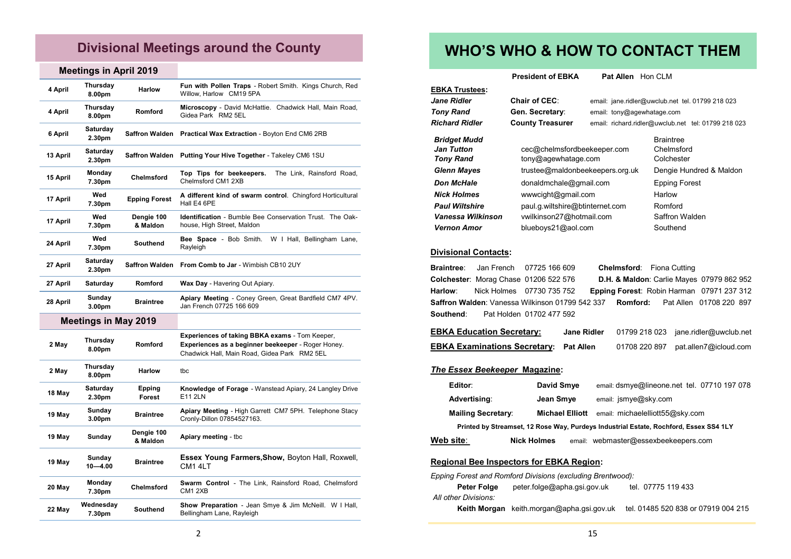## **Divisional Meetings around the County**

#### **Meetings in April 2019**

| 4 April  | Thursday<br>8.00pm          | <b>Harlow</b>           | Fun with Pollen Traps - Robert Smith. Kings Church, Red<br>Willow, Harlow CM19 5PA                                                                          |  |
|----------|-----------------------------|-------------------------|-------------------------------------------------------------------------------------------------------------------------------------------------------------|--|
| 4 April  | Thursday<br>8.00pm          | Romford                 | Microscopy - David McHattie. Chadwick Hall, Main Road,<br>Gidea Park RM2 5EL                                                                                |  |
| 6 April  | Saturday<br>2.30pm          | <b>Saffron Walden</b>   | Practical Wax Extraction - Boyton End CM6 2RB                                                                                                               |  |
| 13 April | Saturday<br>2.30pm          | <b>Saffron Walden</b>   | Putting Your Hive Together - Takeley CM6 1SU                                                                                                                |  |
| 15 April | Monday<br>7.30pm            | Chelmsford              | The Link, Rainsford Road,<br>Top Tips for beekeepers.<br>Chelmsford CM1 2XB                                                                                 |  |
| 17 April | Wed<br>7.30pm               | Epping Forest           | A different kind of swarm control. Chingford Horticultural<br>Hall E4 6PE                                                                                   |  |
| 17 April | Wed<br>7.30pm               | Dengie 100<br>& Maldon  | <b>Identification</b> - Bumble Bee Conservation Trust. The Oak-<br>house, High Street, Maldon                                                               |  |
| 24 April | Wed<br>7.30pm               | <b>Southend</b>         | W I Hall, Bellingham Lane,<br>Bee Space - Bob Smith.<br>Rayleigh                                                                                            |  |
| 27 April | Saturday<br>2.30pm          | <b>Saffron Walden</b>   | From Comb to Jar - Wimbish CB10 2UY                                                                                                                         |  |
| 27 April | Saturday                    | Romford                 | Wax Day - Havering Out Apiary.                                                                                                                              |  |
| 28 April | Sunday<br>3.00pm            | <b>Braintree</b>        | Apiary Meeting - Coney Green, Great Bardfield CM7 4PV.<br>Jan French 07725 166 609                                                                          |  |
|          | <b>Meetings in May 2019</b> |                         |                                                                                                                                                             |  |
| 2 May    | Thursday<br>8.00pm          | Romford                 | <b>Experiences of taking BBKA exams - Tom Keeper,</b><br>Experiences as a beginner beekeeper - Roger Honey.<br>Chadwick Hall, Main Road, Gidea Park RM2 5EL |  |
| 2 May    | Thursday<br>8.00pm          | Harlow                  | tbc                                                                                                                                                         |  |
| 18 May   | Saturday<br>2.30pm          | Epping<br><b>Forest</b> | Knowledge of Forage - Wanstead Apiary, 24 Langley Drive<br>E11 2LN                                                                                          |  |
| 19 May   | Sunday<br>3.00pm            | <b>Braintree</b>        | Apiary Meeting - High Garrett CM7 5PH. Telephone Stacy<br>Cronly-Dillon 07854527163.                                                                        |  |
| 19 May   | Sunday                      | Dengie 100<br>& Maldon  | Apiary meeting - tbc                                                                                                                                        |  |
| 19 May   | Sunday<br>$10 - 4.00$       | <b>Braintree</b>        | <b>Essex Young Farmers, Show, Boyton Hall, Roxwell,</b><br>CM <sub>1</sub> 4LT                                                                              |  |
| 20 May   | Monday<br>7.30pm            | <b>Chelmsford</b>       | Swarm Control - The Link, Rainsford Road, Chelmsford<br>CM1 2XB                                                                                             |  |
| 22 May   | Wednesday<br>7.30pm         | <b>Southend</b>         | <b>Show Preparation</b> - Jean Smye & Jim McNeill. W I Hall,<br>Bellingham Lane, Rayleigh                                                                   |  |

## **WHO'S WHO & HOW TO CONTACT THEM**

**President of EBKA** Pat Allen Hon CLM

**Jane Ridler Chair of CEC**: email: jane.ridler@uwclub.net tel. 01799 218 023 **Tony Rand Gen. Secretary:** email: tony@agewhatage.com *Richard Ridler* **County Treasurer** email: richard.ridler@uwclub.net tel: 01799 218 023

#### **Bridget Mudd** Braintree *Jan Tutton* cec@chelmsfordbeekeeper.com Chelmsford **Tony Rand** tony@agewhatage.com Colchester *Glenn Mayes* trustee@maldonbeekeepers.org.uk Dengie Hundred & Maldon **Don McHale** donaldmchale@gmail.com Epping Forest **Nick Holmes** www.cight@gmail.com Harlow **Paul Wiltshire paul.g.wiltshire@btinternet.com** Romford *Vanessa Wilkinson* vwilkinson27@hotmail.com Saffron Walden Vernon Amor blueboys21@aol.com Southend

#### **Divisional Contacts:**

**EBKA Trustees:**

|  | <b>Braintree:</b> Jan French 07725 166 609<br><b>Southend:</b> Pat Holden 01702 477 592 | Colchester: Morag Chase 01206 522 576<br><b>Harlow:</b> Nick Holmes 07730 735 752 | <b>Chelmsford:</b> Fiona Cutting | <b>D.H. &amp; Maldon: Carlie Mayes 07979 862 952</b><br>Epping Forest: Robin Harman 07971 237 312<br><b>Saffron Walden:</b> Vanessa Wilkinson 01799 542 337 <b>Romford:</b> Pat Allen 01708 220 897 |
|--|-----------------------------------------------------------------------------------------|-----------------------------------------------------------------------------------|----------------------------------|-----------------------------------------------------------------------------------------------------------------------------------------------------------------------------------------------------|

| <b>EBKA Education Secretary:</b>              | <b>Jane Ridler</b> |               | 01799 218 023 jane.ridler@uwclub.net |
|-----------------------------------------------|--------------------|---------------|--------------------------------------|
| <b>EBKA Examinations Secretary: Pat Allen</b> |                    | 01708 220 897 | pat.allen7@icloud.com                |

#### *The Essex Beekeeper* **Magazine:**

| Editor:                                                                               |                           | David Smye             | email: dsmye@lineone.net tel. 07710 197 078 |
|---------------------------------------------------------------------------------------|---------------------------|------------------------|---------------------------------------------|
| Advertising:                                                                          |                           | Jean Smye              | email: jsmye@sky.com                        |
|                                                                                       | <b>Mailing Secretary:</b> | <b>Michael Elliott</b> | email: michaelelliott55@sky.com             |
| Printed by Streamset, 12 Rose Way, Purdeys Industrial Estate, Rochford, Essex SS4 1LY |                           |                        |                                             |
| Web site:                                                                             |                           | <b>Nick Holmes</b>     | email: webmaster@essexbeekeepers.com        |

#### **Regional Bee Inspectors for EBKA Region:**

|                      | Epping Forest and Romford Divisions (excluding Brentwood): |                                     |
|----------------------|------------------------------------------------------------|-------------------------------------|
| Peter Folge          | peter.folge@apha.gsi.gov.uk                                | tel. 07775 119 433                  |
| All other Divisions: |                                                            |                                     |
|                      | Keith Morgan keith morgan@apha.gsi.gov.uk                  | tel. 01485 520 838 or 07919 004 215 |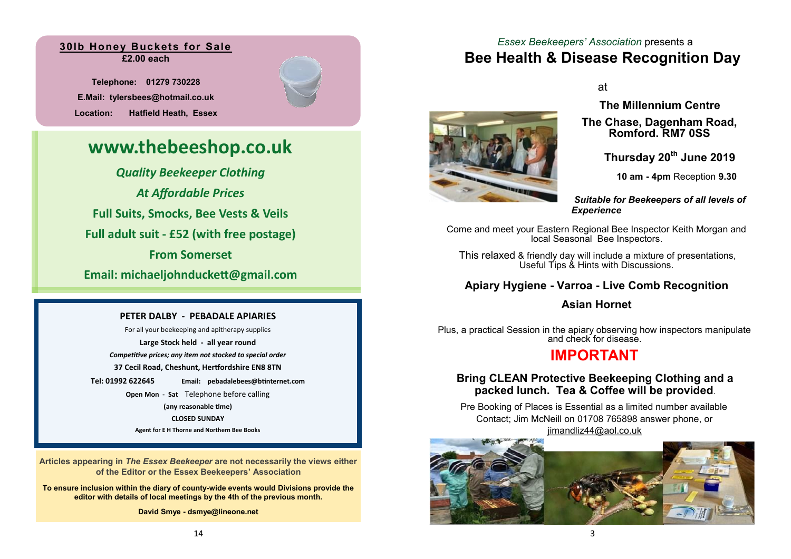### **30lb Honey Buckets for Sale £2.00 each**

**Telephone: 01279 730228 E.Mail: tylersbees@hotmail.co.uk Location: Hatfield Heath, Essex** 

## **www.thebeeshop.co.uk**

*Quality Beekeeper Clothing At Affordable Prices* **Full Suits, Smocks, Bee Vests & Veils Full adult suit - £52 (with free postage) From Somerset Email: michaeljohnduckett@gmail.com**

#### **PETER DALBY - PEBADALE APIARIES**

For all your beekeeping and apitherapy supplies **Large Stock held - all year round** *Competitive prices; any item not stocked to special order* **37 Cecil Road, Cheshunt, Hertfordshire EN8 8TN Tel: 01992 622645 Email: pebadalebees@btinternet.com Open Mon - Sat** Telephone before calling **(any reasonable time) CLOSED SUNDAY Agent for E H Thorne and Northern Bee Books**

**Articles appearing in** *The Essex Beekeeper* **are not necessarily the views either of the Editor or the Essex Beekeepers' Association**

**To ensure inclusion within the diary of county-wide events would Divisions provide the editor with details of local meetings by the 4th of the previous month.**

**David Smye - dsmye@lineone.net**

## *Essex Beekeepers' Association* presents a **Bee Health & Disease Recognition Day**

at



**The Millennium Centre**

**The Chase, Dagenham Road, Romford. RM7 0SS**

**Thursday 20th June 2019**

**10 am - 4pm** Reception **9.30**

*Suitable for Beekeepers of all levels of Experience*

Come and meet your Eastern Regional Bee Inspector Keith Morgan and local Seasonal Bee Inspectors.

This relaxed & friendly day will include a mixture of presentations, Useful Tips & Hints with Discussions.

## **Apiary Hygiene - Varroa - Live Comb Recognition**

## **Asian Hornet**

Plus, a practical Session in the apiary observing how inspectors manipulate and check for disease.

## **IMPORTANT**

## **Bring CLEAN Protective Beekeeping Clothing and a packed lunch. Tea & Coffee will be provided**.

Pre Booking of Places is Essential as a limited number available Contact; Jim McNeill on 01708 765898 answer phone, or [jimandliz44@aol.co.uk](mailto:jimandliz44@aol.co.uk)

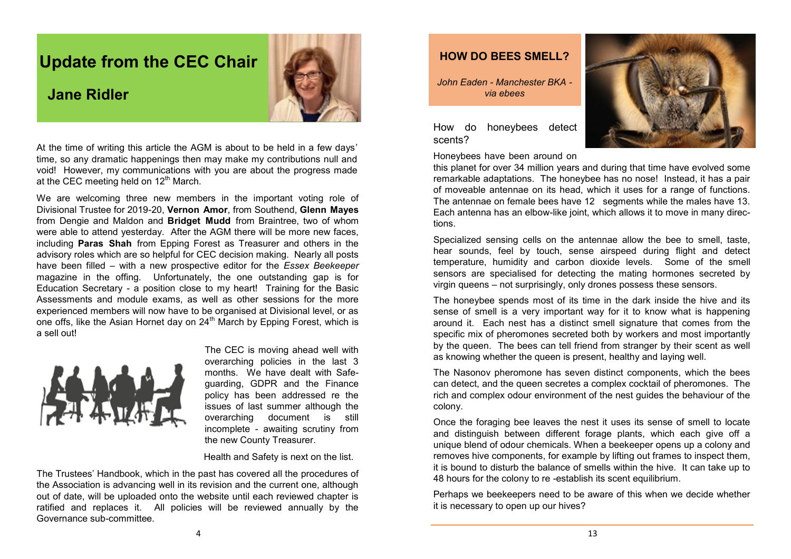## **Update from the CEC Chair**



## **Jane Ridler**

At the time of writing this article the AGM is about to be held in a few days' time, so any dramatic happenings then may make my contributions null and void! However, my communications with you are about the progress made at the CEC meeting held on 12<sup>th</sup> March.

We are welcoming three new members in the important voting role of Divisional Trustee for 2019-20, **Vernon Amor**, from Southend, **Glenn Mayes**  from Dengie and Maldon and **Bridget Mudd** from Braintree, two of whom were able to attend yesterday. After the AGM there will be more new faces, including **Paras Shah** from Epping Forest as Treasurer and others in the advisory roles which are so helpful for CEC decision making. Nearly all posts have been filled – with a new prospective editor for the *Essex Beekeeper* magazine in the offing. Unfortunately, the one outstanding gap is for Education Secretary - a position close to my heart! Training for the Basic Assessments and module exams, as well as other sessions for the more experienced members will now have to be organised at Divisional level, or as one offs, like the Asian Hornet day on 24<sup>th</sup> March by Epping Forest, which is a sell out!



The CEC is moving ahead well with overarching policies in the last 3 months. We have dealt with Safeguarding, GDPR and the Finance policy has been addressed re the issues of last summer although the overarching document is still incomplete - awaiting scrutiny from the new County Treasurer.

Health and Safety is next on the list.

The Trustees' Handbook, which in the past has covered all the procedures of the Association is advancing well in its revision and the current one, although out of date, will be uploaded onto the website until each reviewed chapter is ratified and replaces it. All policies will be reviewed annually by the Governance sub-committee.

## **HOW DO BEES SMELL?**

*John Eaden - Manchester BKA via ebees*

How do honeybees detect scents?



Honeybees have been around on

this planet for over 34 million years and during that time have evolved some remarkable adaptations. The honeybee has no nose! Instead, it has a pair of moveable antennae on its head, which it uses for a range of functions. The antennae on female bees have 12 segments while the males have 13. Each antenna has an elbow-like joint, which allows it to move in many directions.

Specialized sensing cells on the antennae allow the bee to smell, taste, hear sounds, feel by touch, sense airspeed during flight and detect temperature, humidity and carbon dioxide levels. Some of the smell sensors are specialised for detecting the mating hormones secreted by virgin queens – not surprisingly, only drones possess these sensors.

The honeybee spends most of its time in the dark inside the hive and its sense of smell is a very important way for it to know what is happening around it. Each nest has a distinct smell signature that comes from the specific mix of pheromones secreted both by workers and most importantly by the queen. The bees can tell friend from stranger by their scent as well as knowing whether the queen is present, healthy and laying well.

The Nasonov pheromone has seven distinct components, which the bees can detect, and the queen secretes a complex cocktail of pheromones. The rich and complex odour environment of the nest guides the behaviour of the colony.

Once the foraging bee leaves the nest it uses its sense of smell to locate and distinguish between different forage plants, which each give off a unique blend of odour chemicals. When a beekeeper opens up a colony and removes hive components, for example by lifting out frames to inspect them, it is bound to disturb the balance of smells within the hive. It can take up to 48 hours for the colony to re -establish its scent equilibrium.

Perhaps we beekeepers need to be aware of this when we decide whether it is necessary to open up our hives?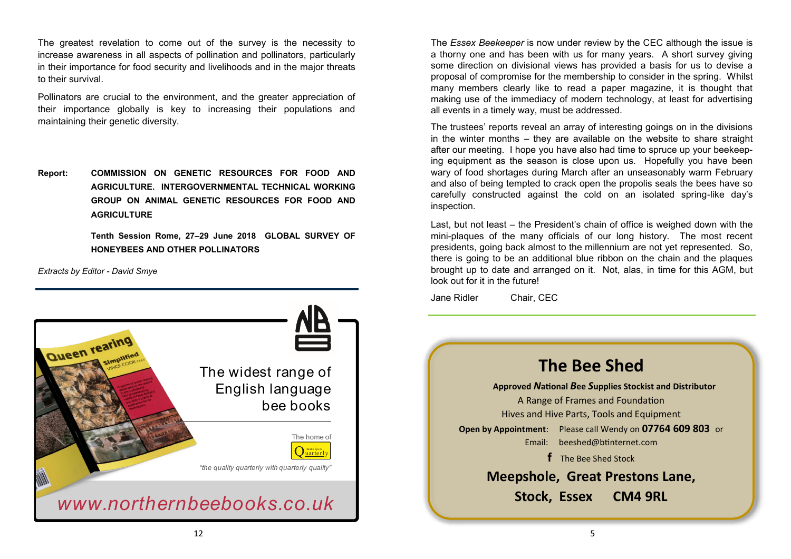The greatest revelation to come out of the survey is the necessity to increase awareness in all aspects of pollination and pollinators, particularly in their importance for food security and livelihoods and in the major threats to their survival.

Pollinators are crucial to the environment, and the greater appreciation of their importance globally is key to increasing their populations and maintaining their genetic diversity.

**Report: COMMISSION ON GENETIC RESOURCES FOR FOOD AND AGRICULTURE. INTERGOVERNMENTAL TECHNICAL WORKING GROUP ON ANIMAL GENETIC RESOURCES FOR FOOD AND AGRICULTURE** 

> **Tenth Session Rome, 27–29 June 2018 GLOBAL SURVEY OF HONEYBEES AND OTHER POLLINATORS**

*Extracts by Editor - David Smye*



The *Essex Beekeeper* is now under review by the CEC although the issue is a thorny one and has been with us for many years. A short survey giving some direction on divisional views has provided a basis for us to devise a proposal of compromise for the membership to consider in the spring. Whilst many members clearly like to read a paper magazine, it is thought that making use of the immediacy of modern technology, at least for advertising all events in a timely way, must be addressed.

The trustees' reports reveal an array of interesting goings on in the divisions in the winter months – they are available on the website to share straight after our meeting. I hope you have also had time to spruce up your beekeeping equipment as the season is close upon us. Hopefully you have been wary of food shortages during March after an unseasonably warm February and also of being tempted to crack open the propolis seals the bees have so carefully constructed against the cold on an isolated spring-like day's inspection.

Last, but not least – the President's chain of office is weighed down with the mini-plaques of the many officials of our long history. The most recent presidents, going back almost to the millennium are not yet represented. So, there is going to be an additional blue ribbon on the chain and the plaques brought up to date and arranged on it. Not, alas, in time for this AGM, but look out for it in the future!

Jane Ridler Chair, CEC

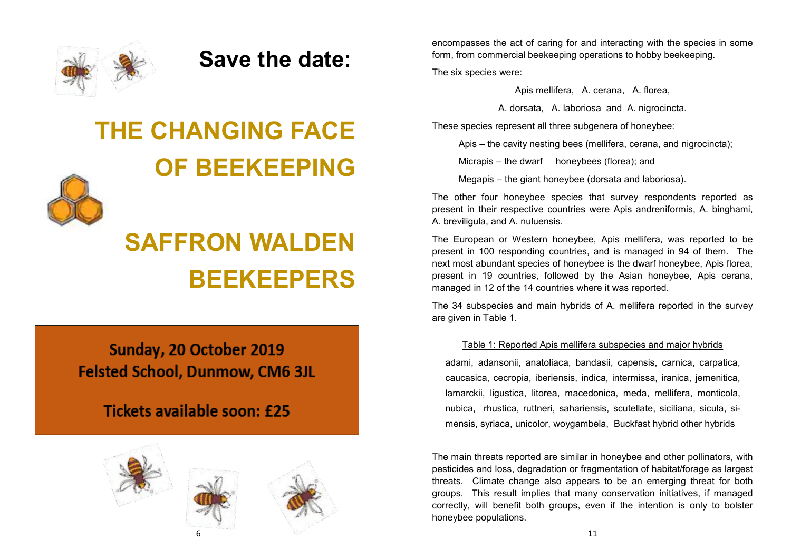

## **Save the date:**

# **THE CHANGING FACE OF BEEKEEPING**



# **SAFFRON WALDEN BEEKEEPERS**

## Sunday, 20 October 2019 **Felsted School, Dunmow, CM6 3JL**

## Tickets available soon: £25







The six species were:

Apis mellifera, A. cerana, A. florea,

A. dorsata, A. laboriosa and A. nigrocincta.

These species represent all three subgenera of honeybee:

Apis – the cavity nesting bees (mellifera, cerana, and nigrocincta);

Micrapis – the dwarf honeybees (florea); and

Megapis – the giant honeybee (dorsata and laboriosa).

The other four honeybee species that survey respondents reported as present in their respective countries were Apis andreniformis, A. binghami, A. breviligula, and A. nuluensis.

The European or Western honeybee, Apis mellifera, was reported to be present in 100 responding countries, and is managed in 94 of them. The next most abundant species of honeybee is the dwarf honeybee, Apis florea, present in 19 countries, followed by the Asian honeybee, Apis cerana, managed in 12 of the 14 countries where it was reported.

The 34 subspecies and main hybrids of A. mellifera reported in the survey are given in Table 1.

## Table 1: Reported Apis mellifera subspecies and major hybrids

adami, adansonii, anatoliaca, bandasii, capensis, carnica, carpatica, caucasica, cecropia, iberiensis, indica, intermissa, iranica, jemenitica, lamarckii, ligustica, litorea, macedonica, meda, mellifera, monticola, nubica, rhustica, ruttneri, sahariensis, scutellate, siciliana, sicula, simensis, syriaca, unicolor, woygambela, Buckfast hybrid other hybrids

The main threats reported are similar in honeybee and other pollinators, with pesticides and loss, degradation or fragmentation of habitat/forage as largest threats. Climate change also appears to be an emerging threat for both groups. This result implies that many conservation initiatives, if managed correctly, will benefit both groups, even if the intention is only to bolster honeybee populations.

11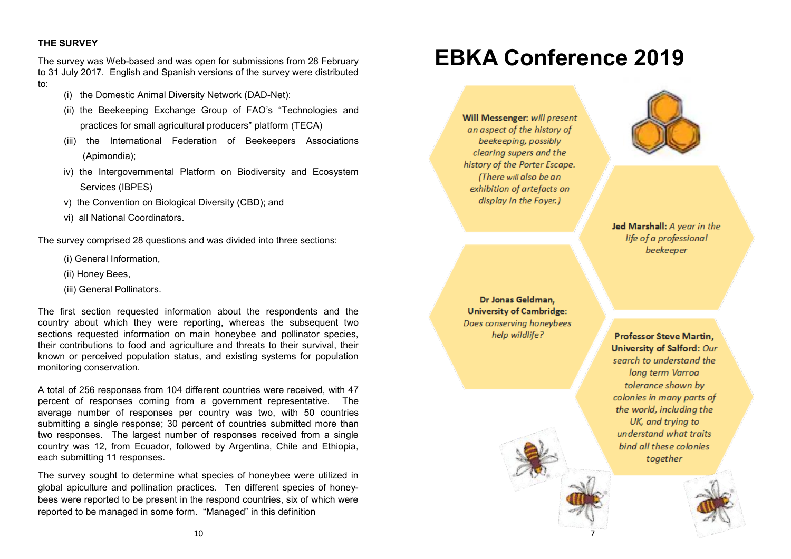### **THE SURVEY**

The survey was Web-based and was open for submissions from 28 February to 31 July 2017. English and Spanish versions of the survey were distributed to:

- (i) the Domestic Animal Diversity Network (DAD-Net):
- (ii) the Beekeeping Exchange Group of FAO's "Technologies and practices for small agricultural producers" platform (TECA)
- (iii) the International Federation of Beekeepers Associations (Apimondia);
- iv) the Intergovernmental Platform on Biodiversity and Ecosystem Services (IBPES)
- v) the Convention on Biological Diversity (CBD); and
- vi) all National Coordinators.

The survey comprised 28 questions and was divided into three sections:

- (i) General Information,
- (ii) Honey Bees,
- (iii) General Pollinators.

The first section requested information about the respondents and the country about which they were reporting, whereas the subsequent two sections requested information on main honeybee and pollinator species, their contributions to food and agriculture and threats to their survival, their known or perceived population status, and existing systems for population monitoring conservation.

A total of 256 responses from 104 different countries were received, with 47 percent of responses coming from a government representative. The average number of responses per country was two, with 50 countries submitting a single response; 30 percent of countries submitted more than two responses. The largest number of responses received from a single country was 12, from Ecuador, followed by Argentina, Chile and Ethiopia, each submitting 11 responses.

The survey sought to determine what species of honeybee were utilized in global apiculture and pollination practices. Ten different species of honeybees were reported to be present in the respond countries, six of which were reported to be managed in some form. "Managed" in this definition

## **EBKA Conference 2019**

Will Messenger: will present an aspect of the history of beekeeping, possibly clearing supers and the history of the Porter Escape. (There will also be an exhibition of artefacts on display in the Foyer.)



Jed Marshall: A vear in the life of a professional **beekeeper** 

Dr Jonas Geldman. **University of Cambridge:** Does conserving honeybees help wildlife?

**Professor Steve Martin,** University of Salford: Our search to understand the long term Varroa tolerance shown by colonies in many parts of the world, including the UK, and trying to understand what traits bind all these colonies together

7